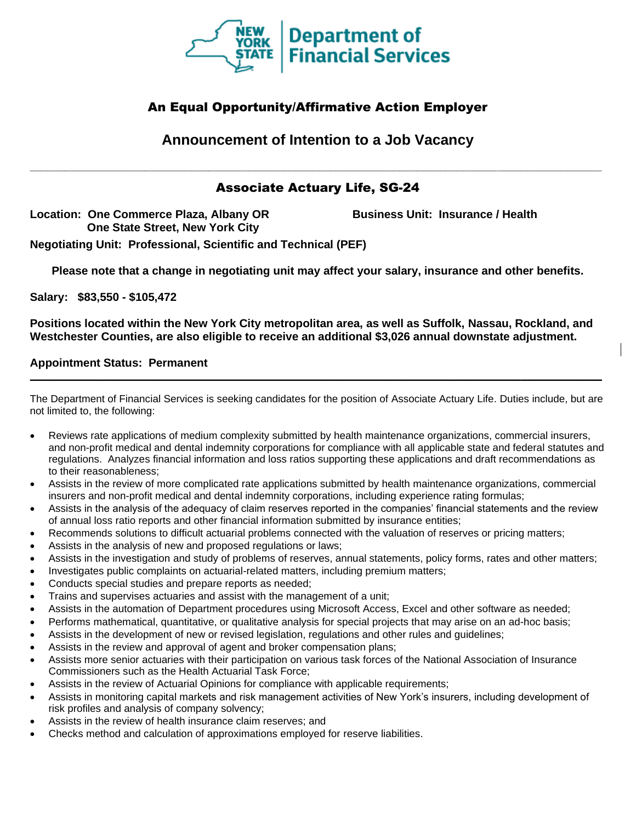

## An Equal Opportunity/Affirmative Action Employer

**Announcement of Intention to a Job Vacancy**

**\_\_\_\_\_\_\_\_\_\_\_\_\_\_\_\_\_\_\_\_\_\_\_\_\_\_\_\_\_\_\_\_\_\_\_\_\_\_\_\_\_\_\_\_\_\_\_\_\_\_\_\_\_\_\_\_\_\_\_\_\_\_\_\_\_\_\_\_\_\_\_\_\_\_\_\_\_\_\_\_\_\_\_\_\_\_\_\_\_\_\_\_\_\_\_\_\_\_\_**

# Associate Actuary Life, SG-24

**Location: One Commerce Plaza, Albany OR One State Street, New York City**

**Business Unit: Insurance / Health**

**Negotiating Unit: Professional, Scientific and Technical (PEF)**

**Please note that a change in negotiating unit may affect your salary, insurance and other benefits.**

**Salary: \$83,550 - \$105,472**

**Positions located within the New York City metropolitan area, as well as Suffolk, Nassau, Rockland, and Westchester Counties, are also eligible to receive an additional \$3,026 annual downstate adjustment.**

## **Appointment Status: Permanent**

The Department of Financial Services is seeking candidates for the position of Associate Actuary Life. Duties include, but are not limited to, the following:

**\_\_\_\_\_\_\_\_\_\_\_\_\_\_\_\_\_\_\_\_\_\_\_\_\_\_\_\_\_\_\_\_\_\_\_\_\_\_\_\_\_\_\_\_\_\_\_\_\_\_\_\_\_\_\_\_\_\_\_\_\_\_\_\_\_\_\_\_\_\_\_\_\_\_\_\_\_\_\_\_\_\_\_\_\_\_\_\_\_\_\_\_\_\_\_\_\_\_\_**

- Reviews rate applications of medium complexity submitted by health maintenance organizations, commercial insurers, and non-profit medical and dental indemnity corporations for compliance with all applicable state and federal statutes and regulations. Analyzes financial information and loss ratios supporting these applications and draft recommendations as to their reasonableness;
- Assists in the review of more complicated rate applications submitted by health maintenance organizations, commercial insurers and non-profit medical and dental indemnity corporations, including experience rating formulas;
- Assists in the analysis of the adequacy of claim reserves reported in the companies' financial statements and the review of annual loss ratio reports and other financial information submitted by insurance entities;
- Recommends solutions to difficult actuarial problems connected with the valuation of reserves or pricing matters;
- Assists in the analysis of new and proposed regulations or laws;
- Assists in the investigation and study of problems of reserves, annual statements, policy forms, rates and other matters;
- Investigates public complaints on actuarial-related matters, including premium matters;
- Conducts special studies and prepare reports as needed;
- Trains and supervises actuaries and assist with the management of a unit;
- Assists in the automation of Department procedures using Microsoft Access, Excel and other software as needed;
- Performs mathematical, quantitative, or qualitative analysis for special projects that may arise on an ad-hoc basis;
- Assists in the development of new or revised legislation, regulations and other rules and guidelines;
- Assists in the review and approval of agent and broker compensation plans;
- Assists more senior actuaries with their participation on various task forces of the National Association of Insurance Commissioners such as the Health Actuarial Task Force;
- Assists in the review of Actuarial Opinions for compliance with applicable requirements;
- Assists in monitoring capital markets and risk management activities of New York's insurers, including development of risk profiles and analysis of company solvency;
- Assists in the review of health insurance claim reserves; and
- Checks method and calculation of approximations employed for reserve liabilities.